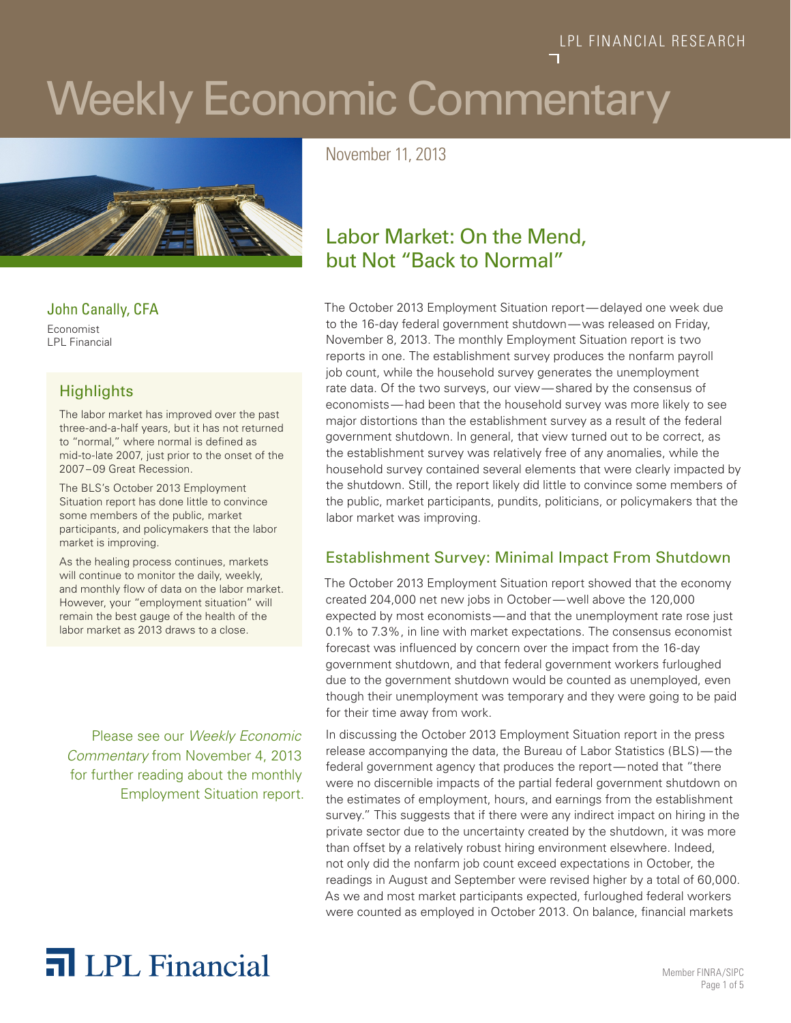# Weekly Economic Commentary



John Canally, CFA Economist

LPL Financial

#### **Highlights**

The labor market has improved over the past three-and-a-half years, but it has not returned to "normal," where normal is defined as mid-to-late 2007, just prior to the onset of the 2007–09 Great Recession.

The BLS's October 2013 Employment Situation report has done little to convince some members of the public, market participants, and policymakers that the labor market is improving.

As the healing process continues, markets will continue to monitor the daily, weekly, and monthly flow of data on the labor market. However, your "employment situation" will remain the best gauge of the health of the labor market as 2013 draws to a close.

Please see our *Weekly Economic Commentary* from November 4, 2013 for further reading about the monthly Employment Situation report. November 11, 2013

### Labor Market: On the Mend, but Not "Back to Normal"

The October 2013 Employment Situation report—delayed one week due to the 16-day federal government shutdown—was released on Friday, November 8, 2013. The monthly Employment Situation report is two reports in one. The establishment survey produces the nonfarm payroll job count, while the household survey generates the unemployment rate data. Of the two surveys, our view—shared by the consensus of economists—had been that the household survey was more likely to see major distortions than the establishment survey as a result of the federal government shutdown. In general, that view turned out to be correct, as the establishment survey was relatively free of any anomalies, while the household survey contained several elements that were clearly impacted by the shutdown. Still, the report likely did little to convince some members of the public, market participants, pundits, politicians, or policymakers that the labor market was improving.

#### Establishment Survey: Minimal Impact From Shutdown

The October 2013 Employment Situation report showed that the economy created 204,000 net new jobs in October—well above the 120,000 expected by most economists—and that the unemployment rate rose just 0.1% to 7.3%, in line with market expectations. The consensus economist forecast was influenced by concern over the impact from the 16-day government shutdown, and that federal government workers furloughed due to the government shutdown would be counted as unemployed, even though their unemployment was temporary and they were going to be paid for their time away from work.

In discussing the October 2013 Employment Situation report in the press release accompanying the data, the Bureau of Labor Statistics (BLS)—the federal government agency that produces the report—noted that "there were no discernible impacts of the partial federal government shutdown on the estimates of employment, hours, and earnings from the establishment survey." This suggests that if there were any indirect impact on hiring in the private sector due to the uncertainty created by the shutdown, it was more than offset by a relatively robust hiring environment elsewhere. Indeed, not only did the nonfarm job count exceed expectations in October, the readings in August and September were revised higher by a total of 60,000. As we and most market participants expected, furloughed federal workers were counted as employed in October 2013. On balance, financial markets

## The **Member FINRA/SIPC** Nember FINRA/SIPC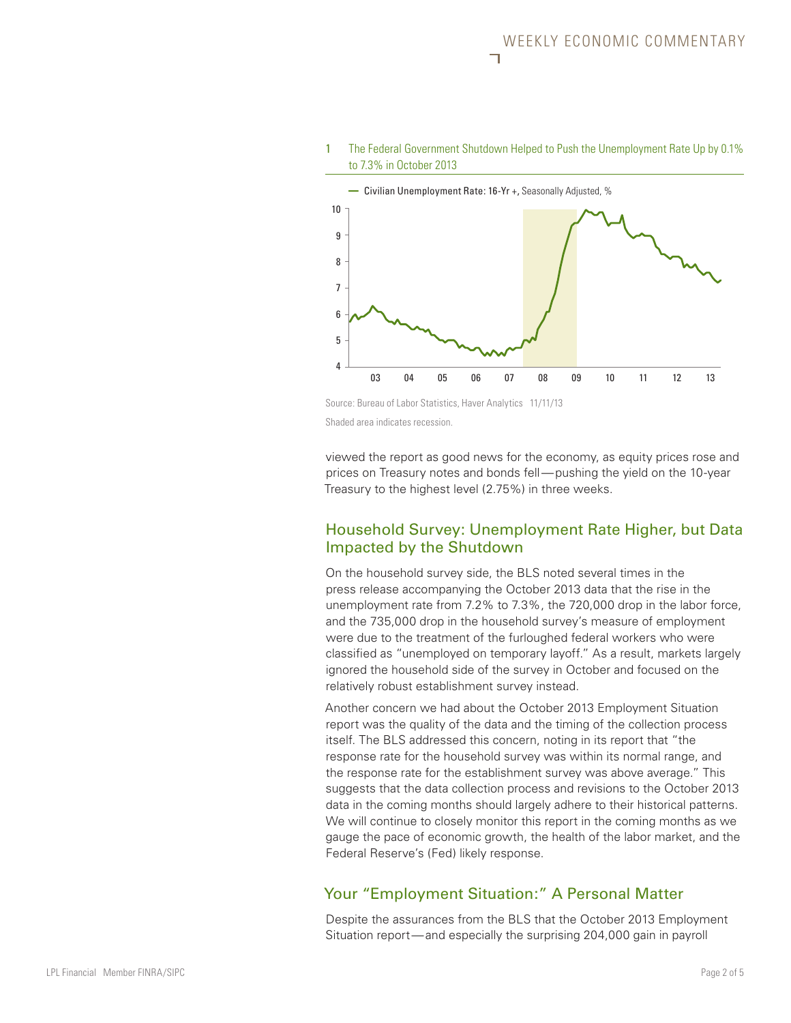



Source: Bureau of Labor Statistics, Haver Analytics 11/11/13 Shaded area indicates recession.

viewed the report as good news for the economy, as equity prices rose and prices on Treasury notes and bonds fell—pushing the yield on the 10-year Treasury to the highest level (2.75%) in three weeks.

#### Household Survey: Unemployment Rate Higher, but Data Impacted by the Shutdown

On the household survey side, the BLS noted several times in the press release accompanying the October 2013 data that the rise in the unemployment rate from 7.2% to 7.3%, the 720,000 drop in the labor force, and the 735,000 drop in the household survey's measure of employment were due to the treatment of the furloughed federal workers who were classified as "unemployed on temporary layoff." As a result, markets largely ignored the household side of the survey in October and focused on the relatively robust establishment survey instead.

Another concern we had about the October 2013 Employment Situation report was the quality of the data and the timing of the collection process itself. The BLS addressed this concern, noting in its report that "the response rate for the household survey was within its normal range, and the response rate for the establishment survey was above average." This suggests that the data collection process and revisions to the October 2013 data in the coming months should largely adhere to their historical patterns. We will continue to closely monitor this report in the coming months as we gauge the pace of economic growth, the health of the labor market, and the Federal Reserve's (Fed) likely response.

#### Your "Employment Situation:" A Personal Matter

Despite the assurances from the BLS that the October 2013 Employment Situation report—and especially the surprising 204,000 gain in payroll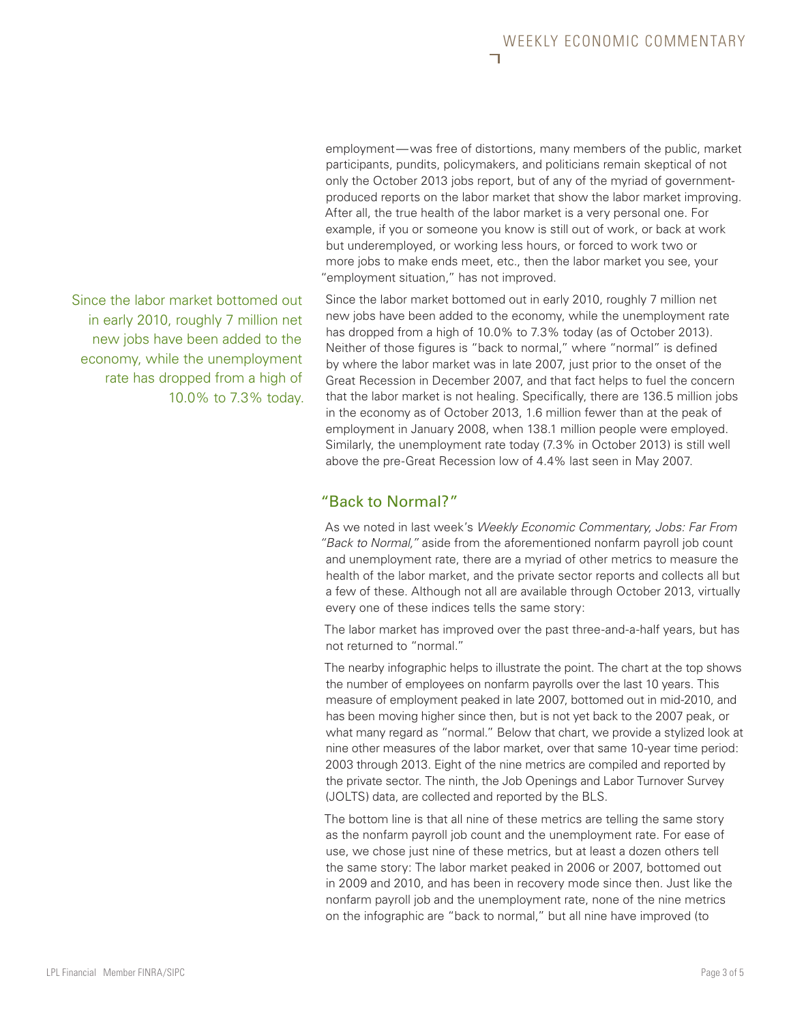employment—was free of distortions, many members of the public, market participants, pundits, policymakers, and politicians remain skeptical of not only the October 2013 jobs report, but of any of the myriad of governmentproduced reports on the labor market that show the labor market improving. After all, the true health of the labor market is a very personal one. For example, if you or someone you know is still out of work, or back at work but underemployed, or working less hours, or forced to work two or more jobs to make ends meet, etc., then the labor market you see, your "employment situation," has not improved.

Since the labor market bottomed out in early 2010, roughly 7 million net new jobs have been added to the economy, while the unemployment rate has dropped from a high of 10.0% to 7.3% today (as of October 2013). Neither of those figures is "back to normal," where "normal" is defined by where the labor market was in late 2007, just prior to the onset of the Great Recession in December 2007, and that fact helps to fuel the concern that the labor market is not healing. Specifically, there are 136.5 million jobs in the economy as of October 2013, 1.6 million fewer than at the peak of employment in January 2008, when 138.1 million people were employed. Similarly, the unemployment rate today (7.3% in October 2013) is still well above the pre-Great Recession low of 4.4% last seen in May 2007.

#### "Back to Normal?"

As we noted in last week's *Weekly Economic Commentary, Jobs: Far From "Back to Normal,"* aside from the aforementioned nonfarm payroll job count and unemployment rate, there are a myriad of other metrics to measure the health of the labor market, and the private sector reports and collects all but a few of these. Although not all are available through October 2013, virtually every one of these indices tells the same story:

The labor market has improved over the past three-and-a-half years, but has not returned to "normal."

The nearby infographic helps to illustrate the point. The chart at the top shows the number of employees on nonfarm payrolls over the last 10 years. This measure of employment peaked in late 2007, bottomed out in mid-2010, and has been moving higher since then, but is not yet back to the 2007 peak, or what many regard as "normal." Below that chart, we provide a stylized look at nine other measures of the labor market, over that same 10-year time period: 2003 through 2013. Eight of the nine metrics are compiled and reported by the private sector. The ninth, the Job Openings and Labor Turnover Survey (JOLTS) data, are collected and reported by the BLS.

The bottom line is that all nine of these metrics are telling the same story as the nonfarm payroll job count and the unemployment rate. For ease of use, we chose just nine of these metrics, but at least a dozen others tell the same story: The labor market peaked in 2006 or 2007, bottomed out in 2009 and 2010, and has been in recovery mode since then. Just like the nonfarm payroll job and the unemployment rate, none of the nine metrics on the infographic are "back to normal," but all nine have improved (to

Since the labor market bottomed out in early 2010, roughly 7 million net new jobs have been added to the economy, while the unemployment rate has dropped from a high of 10.0% to 7.3% today.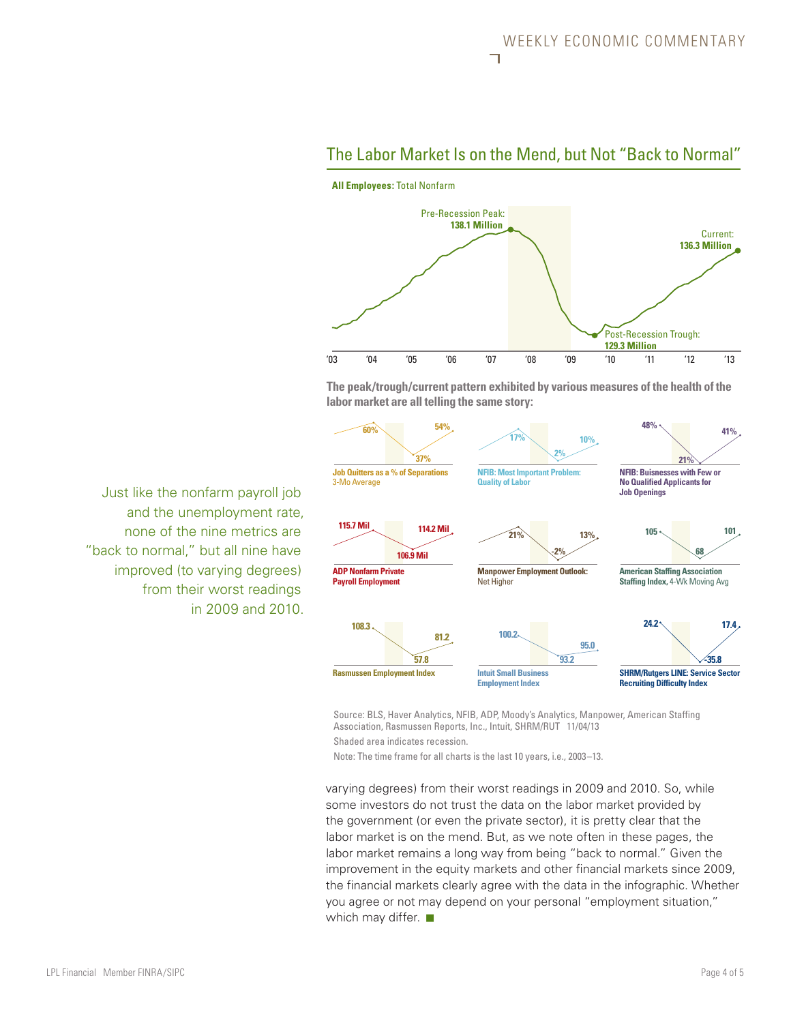

#### The Labor Market Is on the Mend, but Not "Back to Normal"

**The peak/trough/current pattern exhibited by various measures of the health of the labor market are all telling the same story:**

![](_page_3_Figure_4.jpeg)

Source: BLS, Haver Analytics, NFIB, ADP, Moody's Analytics, Manpower, American Staffing Association, Rasmussen Reports, Inc., Intuit, SHRM/RUT 11/04/13 Shaded area indicates recession.

Note: The time frame for all charts is the last 10 years, i.e., 2003–13.

varying degrees) from their worst readings in 2009 and 2010. So, while some investors do not trust the data on the labor market provided by the government (or even the private sector), it is pretty clear that the labor market is on the mend. But, as we note often in these pages, the labor market remains a long way from being "back to normal." Given the improvement in the equity markets and other financial markets since 2009, the financial markets clearly agree with the data in the infographic. Whether you agree or not may depend on your personal "employment situation," which may differ.  $\blacksquare$ 

Just like the nonfarm payroll job and the unemployment rate, none of the nine metrics are "back to normal," but all nine have improved (to varying degrees) from their worst readings in 2009 and 2010.